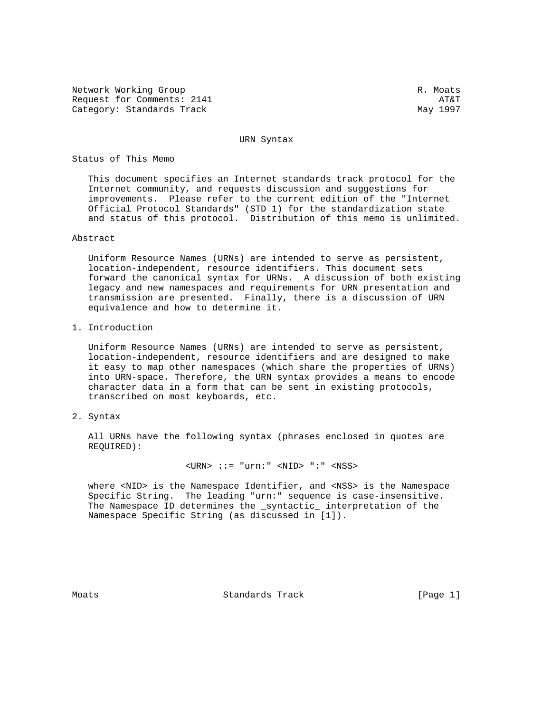Network Working Group and the set of the set of the set of the set of the set of the set of the set of the set of the set of the set of the set of the set of the set of the set of the set of the set of the set of the set o Request for Comments: 2141 AT&T Category: Standards Track May 1997

URN Syntax

Status of This Memo

 This document specifies an Internet standards track protocol for the Internet community, and requests discussion and suggestions for improvements. Please refer to the current edition of the "Internet Official Protocol Standards" (STD 1) for the standardization state and status of this protocol. Distribution of this memo is unlimited.

Abstract

 Uniform Resource Names (URNs) are intended to serve as persistent, location-independent, resource identifiers. This document sets forward the canonical syntax for URNs. A discussion of both existing legacy and new namespaces and requirements for URN presentation and transmission are presented. Finally, there is a discussion of URN equivalence and how to determine it.

1. Introduction

 Uniform Resource Names (URNs) are intended to serve as persistent, location-independent, resource identifiers and are designed to make it easy to map other namespaces (which share the properties of URNs) into URN-space. Therefore, the URN syntax provides a means to encode character data in a form that can be sent in existing protocols, transcribed on most keyboards, etc.

2. Syntax

 All URNs have the following syntax (phrases enclosed in quotes are REQUIRED):

 $\langle$ URN> ::= "urn:"  $\langle$ NID> ":"  $\langle$ NSS>

 where <NID> is the Namespace Identifier, and <NSS> is the Namespace Specific String. The leading "urn:" sequence is case-insensitive. The Namespace ID determines the \_syntactic\_ interpretation of the Namespace Specific String (as discussed in [1]).

Moats **Standards Track** [Page 1]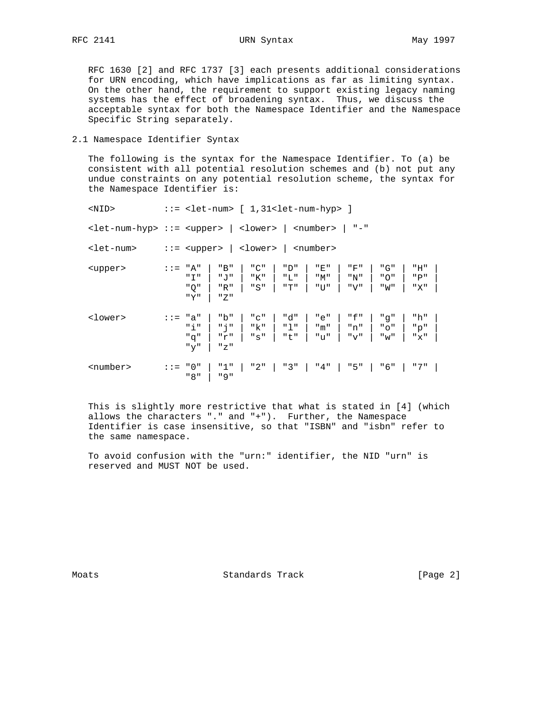RFC 2141 URN Syntax May 1997

 RFC 1630 [2] and RFC 1737 [3] each presents additional considerations for URN encoding, which have implications as far as limiting syntax. On the other hand, the requirement to support existing legacy naming systems has the effect of broadening syntax. Thus, we discuss the acceptable syntax for both the Namespace Identifier and the Namespace Specific String separately.

2.1 Namespace Identifier Syntax

 The following is the syntax for the Namespace Identifier. To (a) be consistent with all potential resolution schemes and (b) not put any undue constraints on any potential resolution scheme, the syntax for the Namespace Identifier is:

| <nid></nid>                                     |         | $::=$ <let-num> <math>[1,31</math><let-num-hyp> <math>]</math></let-num-hyp></let-num> |                   |                   |                   |                                    |                       |                   |
|-------------------------------------------------|---------|----------------------------------------------------------------------------------------|-------------------|-------------------|-------------------|------------------------------------|-----------------------|-------------------|
| <let-num-hyp> ::= <upper></upper></let-num-hyp> |         |                                                                                        | <lower></lower>   |                   | <number></number> | $^{\mathrm{II}}$ $ ^{\mathrm{II}}$ |                       |                   |
| <let-num></let-num>                             |         | $::=$ <upper></upper>                                                                  | <lower></lower>   |                   | <number></number> |                                    |                       |                   |
| <upper></upper>                                 | $: :=$  | "A"<br>"B"<br>"T"<br>יי ד, יי<br>" Q "<br>"R"<br>"Y"<br>" Z "                          | "C"<br>"K"<br>"S" | "D"<br>"L"<br>"T" | "E"<br>"M"<br>"U" | "F"<br>"N"<br>"V"                  | "G"<br>" O "<br>"W"   | "H"<br>"P"<br>"X" |
| <lower></lower>                                 | $: :=$  | "b"<br>"a"<br>"i"<br>" הֹ<br>"q"<br>ா∽"<br>" $y$ "<br>"Z"                              | "C"<br>"k"<br>"s" | "d"<br>"1"<br>"t" | "e"<br>"m"<br>"u" | "f"<br>"n"<br>" v "                | "q"<br>" O "<br>" w " | "h"<br>"p"<br>"x" |
| <number></number>                               | $: : =$ | " 0 "<br>"1"<br>"8"<br>" 9 "                                                           | "2"               | "3"               | "4"               | "5"                                | " 6 "                 | "7"               |

 This is slightly more restrictive that what is stated in [4] (which allows the characters "." and "+"). Further, the Namespace Identifier is case insensitive, so that "ISBN" and "isbn" refer to the same namespace.

 To avoid confusion with the "urn:" identifier, the NID "urn" is reserved and MUST NOT be used.

Moats **Standards Track** [Page 2]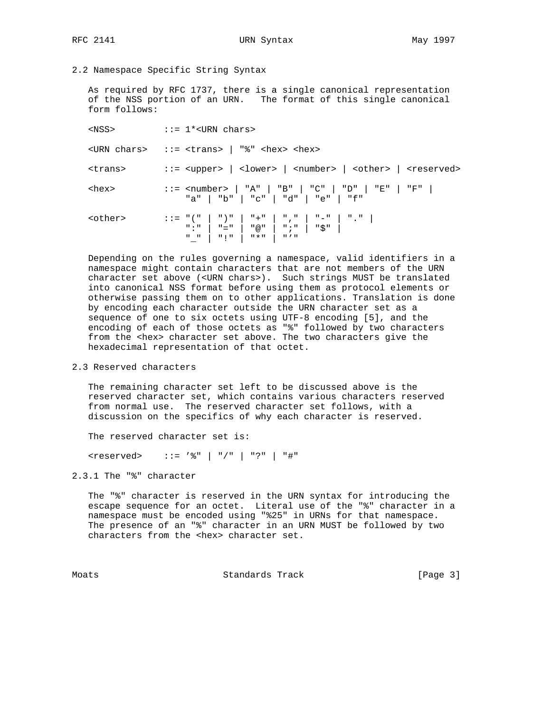## RFC 2141 URN Syntax May 1997

## 2.2 Namespace Specific String Syntax

 As required by RFC 1737, there is a single canonical representation of the NSS portion of an URN. The format of this single canonical form follows:

 $<sub>NSS</sub>$  ::= 1\*<URN chars></sub> <URN chars> ::= <trans> | "%" <hex> <hex> <trans> ::= <upper> | <lower> | <number> | <other> | <reserved> <hex> ::= <number> | "A" | "B" | "C" | "D" | "E" | "F" | "a" | "b" | "c" | "d" | "e" | "f" <other> ::= "(" | ")" | "+" | "," | "-" | "." | ":" | "=" | "@" | ";" | "\$" |  $\begin{array}{c|c|c|c|c|c|c|c} \hline \textbf{m} & \textbf{m} & \textbf{m} & \textbf{m} & \textbf{m} & \textbf{m} & \textbf{m} & \textbf{m} & \textbf{m} & \textbf{m} & \textbf{m} & \textbf{m} & \textbf{m} & \textbf{m} & \textbf{m} & \textbf{m} & \textbf{m} & \textbf{m} & \textbf{m} & \textbf{m} & \textbf{m} & \textbf{m} & \textbf{m} & \textbf{m} & \textbf{m} & \textbf{m} & \textbf{m} & \textbf{m} &$ 

 Depending on the rules governing a namespace, valid identifiers in a namespace might contain characters that are not members of the URN character set above (<URN chars>). Such strings MUST be translated into canonical NSS format before using them as protocol elements or otherwise passing them on to other applications. Translation is done by encoding each character outside the URN character set as a sequence of one to six octets using UTF-8 encoding [5], and the encoding of each of those octets as "%" followed by two characters from the <hex> character set above. The two characters give the hexadecimal representation of that octet.

## 2.3 Reserved characters

 The remaining character set left to be discussed above is the reserved character set, which contains various characters reserved from normal use. The reserved character set follows, with a discussion on the specifics of why each character is reserved.

The reserved character set is:

<reserved> ::= '%" | "/" | "?" | "#"

2.3.1 The "%" character

 The "%" character is reserved in the URN syntax for introducing the escape sequence for an octet. Literal use of the "%" character in a namespace must be encoded using "%25" in URNs for that namespace. The presence of an "%" character in an URN MUST be followed by two characters from the <hex> character set.

Moats **Standards Track** [Page 3]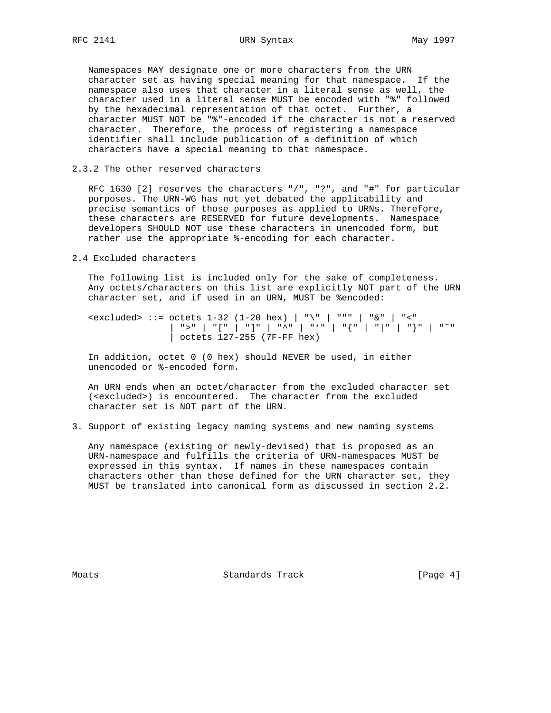Namespaces MAY designate one or more characters from the URN character set as having special meaning for that namespace. If the namespace also uses that character in a literal sense as well, the character used in a literal sense MUST be encoded with "%" followed by the hexadecimal representation of that octet. Further, a character MUST NOT be "%"-encoded if the character is not a reserved character. Therefore, the process of registering a namespace identifier shall include publication of a definition of which characters have a special meaning to that namespace.

## 2.3.2 The other reserved characters

 RFC 1630 [2] reserves the characters "/", "?", and "#" for particular purposes. The URN-WG has not yet debated the applicability and precise semantics of those purposes as applied to URNs. Therefore, these characters are RESERVED for future developments. Namespace developers SHOULD NOT use these characters in unencoded form, but rather use the appropriate %-encoding for each character.

2.4 Excluded characters

 The following list is included only for the sake of completeness. Any octets/characters on this list are explicitly NOT part of the URN character set, and if used in an URN, MUST be %encoded:

 <excluded> ::= octets 1-32 (1-20 hex) | "\" | """ | "&" | "<" | ">" | "[" | "]" | "^" | "'" | "{" | "|" | "}" | "˜" | octets 127-255 (7F-FF hex)

 In addition, octet 0 (0 hex) should NEVER be used, in either unencoded or %-encoded form.

 An URN ends when an octet/character from the excluded character set (<excluded>) is encountered. The character from the excluded character set is NOT part of the URN.

3. Support of existing legacy naming systems and new naming systems

 Any namespace (existing or newly-devised) that is proposed as an URN-namespace and fulfills the criteria of URN-namespaces MUST be expressed in this syntax. If names in these namespaces contain characters other than those defined for the URN character set, they MUST be translated into canonical form as discussed in section 2.2.

Moats **Standards Track** [Page 4]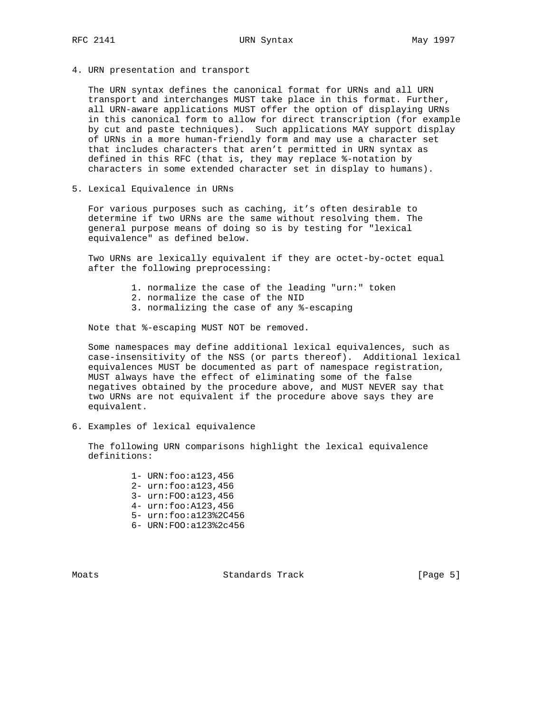4. URN presentation and transport

 The URN syntax defines the canonical format for URNs and all URN transport and interchanges MUST take place in this format. Further, all URN-aware applications MUST offer the option of displaying URNs in this canonical form to allow for direct transcription (for example by cut and paste techniques). Such applications MAY support display of URNs in a more human-friendly form and may use a character set that includes characters that aren't permitted in URN syntax as defined in this RFC (that is, they may replace %-notation by characters in some extended character set in display to humans).

5. Lexical Equivalence in URNs

 For various purposes such as caching, it's often desirable to determine if two URNs are the same without resolving them. The general purpose means of doing so is by testing for "lexical equivalence" as defined below.

 Two URNs are lexically equivalent if they are octet-by-octet equal after the following preprocessing:

- 1. normalize the case of the leading "urn:" token
- 2. normalize the case of the NID
- 3. normalizing the case of any %-escaping

Note that %-escaping MUST NOT be removed.

 Some namespaces may define additional lexical equivalences, such as case-insensitivity of the NSS (or parts thereof). Additional lexical equivalences MUST be documented as part of namespace registration, MUST always have the effect of eliminating some of the false negatives obtained by the procedure above, and MUST NEVER say that two URNs are not equivalent if the procedure above says they are equivalent.

6. Examples of lexical equivalence

 The following URN comparisons highlight the lexical equivalence definitions:

- 1- URN:foo:a123,456
- 2- urn:foo:a123,456
- 3- urn:FOO:a123,456
- 4- urn:foo:A123,456
- 5- urn:foo:a123%2C456
- 6- URN:FOO:a123%2c456

Moats **Standards Track** [Page 5]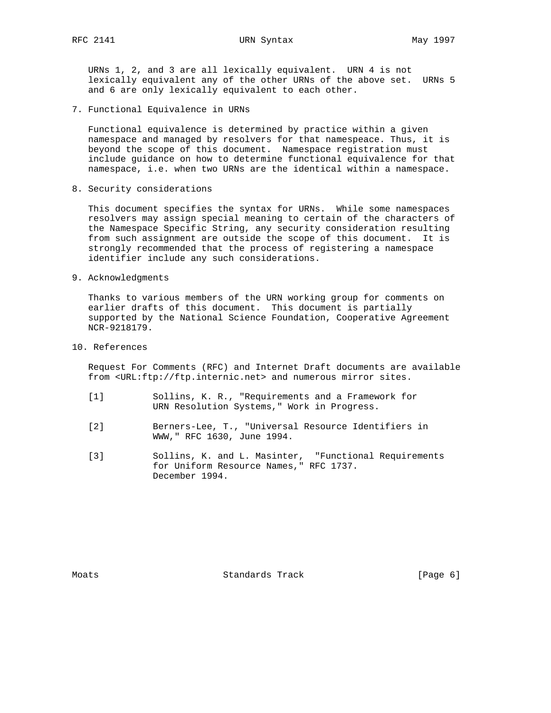RFC 2141 URN Syntax May 1997

 URNs 1, 2, and 3 are all lexically equivalent. URN 4 is not lexically equivalent any of the other URNs of the above set. URNs 5 and 6 are only lexically equivalent to each other.

7. Functional Equivalence in URNs

 Functional equivalence is determined by practice within a given namespace and managed by resolvers for that namespeace. Thus, it is beyond the scope of this document. Namespace registration must include guidance on how to determine functional equivalence for that namespace, i.e. when two URNs are the identical within a namespace.

8. Security considerations

 This document specifies the syntax for URNs. While some namespaces resolvers may assign special meaning to certain of the characters of the Namespace Specific String, any security consideration resulting from such assignment are outside the scope of this document. It is strongly recommended that the process of registering a namespace identifier include any such considerations.

9. Acknowledgments

 Thanks to various members of the URN working group for comments on earlier drafts of this document. This document is partially supported by the National Science Foundation, Cooperative Agreement NCR-9218179.

10. References

 Request For Comments (RFC) and Internet Draft documents are available from <URL:ftp://ftp.internic.net> and numerous mirror sites.

- [1] Sollins, K. R., "Requirements and a Framework for URN Resolution Systems," Work in Progress.
- [2] Berners-Lee, T., "Universal Resource Identifiers in WWW," RFC 1630, June 1994.
- [3] Sollins, K. and L. Masinter, "Functional Requirements for Uniform Resource Names," RFC 1737. December 1994.

Moats **Standards Track** [Page 6]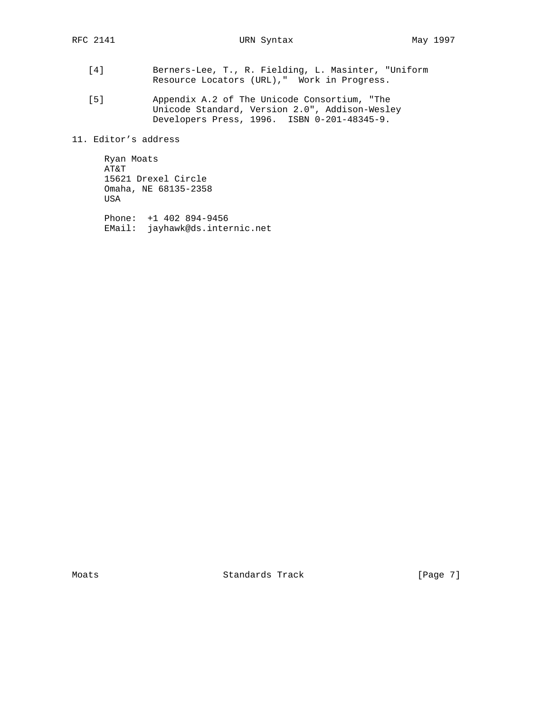- [4] Berners-Lee, T., R. Fielding, L. Masinter, "Uniform Resource Locators (URL)," Work in Progress.
- [5] Appendix A.2 of The Unicode Consortium, "The Unicode Standard, Version 2.0", Addison-Wesley Developers Press, 1996. ISBN 0-201-48345-9.

11. Editor's address

 Ryan Moats AT&T 15621 Drexel Circle Omaha, NE 68135-2358 USA

 Phone: +1 402 894-9456 EMail: jayhawk@ds.internic.net

Moats **Standards Track** [Page 7]